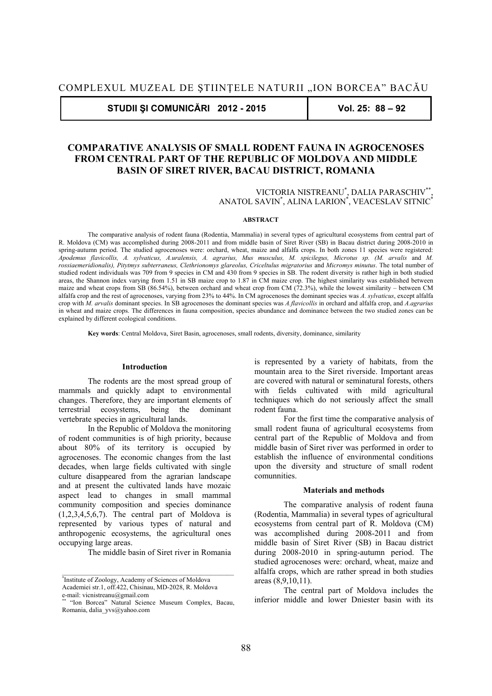**STUDII ŞI COMUNICĂRI 2012 - 2015 Vol. 25: 88 – 92** 

# **COMPARATIVE ANALYSIS OF SMALL RODENT FAUNA IN AGROCENOSES FROM CENTRAL PART OF THE REPUBLIC OF MOLDOVA AND MIDDLE BASIN OF SIRET RIVER, BACAU DISTRICT, ROMANIA**

VICTORIA NISTREANU\* , DALIA PARASCHIV\*\*, ANATOL SAVIN\* , ALINA LARION\* , VEACESLAV SITNIC\*

# **ABSTRACT**

The comparative analysis of rodent fauna (Rodentia, Mammalia) in several types of agricultural ecosystems from central part of R. Moldova (CM) was accomplished during 2008-2011 and from middle basin of Siret River (SB) in Bacau district during 2008-2010 in spring-autumn period. The studied agrocenoses were: orchard, wheat, maize and alfalfa crops. In both zones 11 species were registered: *Apodemus flavicollis, A. sylvaticus, A.uralensis, A. agrarius, Mus musculus, M. spicilegus, Microtus sp. (M. arvalis* and *M. rossiaemeridionalis), Pitytmys subterraneus, Clethrionomys glareolus, Criceltulus migratorius* and *Micromys minutus*. The total number of studied rodent individuals was 709 from 9 species in CM and 430 from 9 species in SB. The rodent diversity is rather high in both studied areas, the Shannon index varying from 1.51 in SB maize crop to 1.87 in CM maize crop. The highest similarity was established between maize and wheat crops from SB (86.54%), between orchard and wheat crop from CM (72.3%), while the lowest similarity – between CM alfalfa crop and the rest of agrocenoses, varying from 23% to 44%. In CM agrocenoses the dominant species was *A. sylvaticus*, except alfalfa crop with *M. arvalis* dominant species. In SB agrocenoses the dominant species was *A.flavicollis* in orchard and alfalfa crop, and *A.agrarius* in wheat and maize crops. The differences in fauna composition, species abundance and dominance between the two studied zones can be explained by different ecological conditions.

**Key words**: Central Moldova, Siret Basin, agrocenoses, small rodents, diversity, dominance, similarity

# **Introduction**

The rodents are the most spread group of mammals and quickly adapt to environmental changes. Therefore, they are important elements of terrestrial ecosystems, being the dominant vertebrate species in agricultural lands.

In the Republic of Moldova the monitoring of rodent communities is of high priority, because about 80% of its territory is occupied by agrocenoses. The economic changes from the last decades, when large fields cultivated with single culture disappeared from the agrarian landscape and at present the cultivated lands have mozaic aspect lead to changes in small mammal community composition and species dominance  $(1,2,3,4,5,6,7)$ . The central part of Moldova is represented by various types of natural and anthropogenic ecosystems, the agricultural ones occupying large areas.

The middle basin of Siret river in Romania

is represented by a variety of habitats, from the mountain area to the Siret riverside. Important areas are covered with natural or seminatural forests, others with fields cultivated with mild agricultural techniques which do not seriously affect the small rodent fauna.

For the first time the comparative analysis of small rodent fauna of agricultural ecosystems from central part of the Republic of Moldova and from middle basin of Siret river was performed in order to establish the influence of environmental conditions upon the diversity and structure of small rodent comunnities.

# **Materials and methods**

The comparative analysis of rodent fauna (Rodentia, Mammalia) in several types of agricultural ecosystems from central part of R. Moldova (CM) was accomplished during 2008-2011 and from middle basin of Siret River (SB) in Bacau district during 2008-2010 in spring-autumn period. The studied agrocenoses were: orchard, wheat, maize and alfalfa crops, which are rather spread in both studies areas (8,9,10,11).

The central part of Moldova includes the inferior middle and lower Dniester basin with its

<sup>\*</sup> Institute of Zoology, Academy of Sciences of Moldova Academiei str.1, off.422, Chisinau, MD-2028, R. Moldova e-mail: vicnistreanu@gmail.com

<sup>\*\* &</sup>quot;Ion Borcea" Natural Science Museum Complex, Bacau, Romania, dalia\_yvs@yahoo.com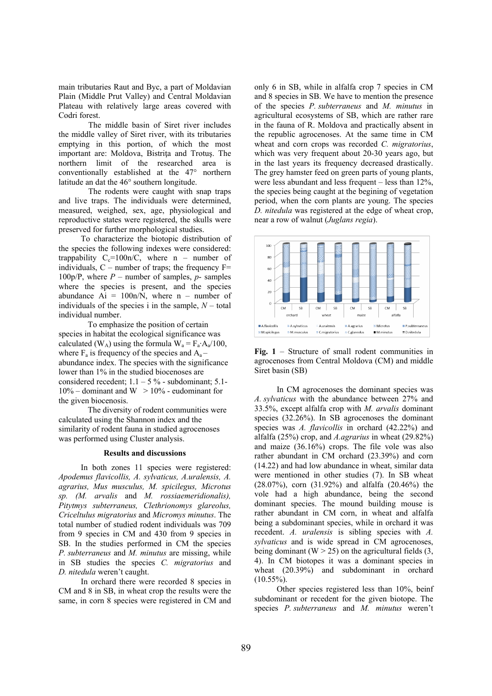main tributaries Raut and Byc, a part of Moldavian Plain (Middle Prut Valley) and Central Moldavian Plateau with relatively large areas covered with Codri forest.

The middle basin of Siret river includes the middle valley of Siret river, with its tributaries emptying in this portion, of which the most important are: Moldova, Bistrita and Trotus. The northern limit of the researched area is conventionally established at the 47° northern latitude an dat the 46° southern longitude.

The rodents were caught with snap traps and live traps. The individuals were determined, measured, weighed, sex, age, physiological and reproductive states were registered, the skulls were preserved for further morphological studies.

To characterize the biotopic distribution of the species the following indexes were considered: trappability  $C_c=100n/C$ , where n – number of individuals,  $C$  – number of traps; the frequency  $F=$ 100p/P, where *P* – number of samples, *p*- samples where the species is present, and the species abundance  $Ai = 100n/N$ , where n – number of individuals of the species i in the sample,  $N -$  total individual number.

To emphasize the position of certain species in habitat the ecological significance was calculated (W<sub>A</sub>) using the formula W<sub>a</sub> =  $F_a$ <sup> $\cdot$ </sup>A<sub>a</sub> $/100$ , where  $F_a$  is frequency of the species and  $A_a$ abundance index. The species with the significance lower than 1% in the studied biocenoses are considered recedent;  $1.1 - 5\%$  - subdominant; 5.1- $10\%$  – dominant and W  $> 10\%$  - eudominant for the given biocenosis.

The diversity of rodent communities were calculated using the Shannon index and the similarity of rodent fauna in studied agrocenoses was performed using Cluster analysis.

## **Results and discussions**

In both zones 11 species were registered: *Apodemus flavicollis, A. sylvaticus, A.uralensis, A. agrarius, Mus musculus, M. spicilegus, Microtus sp. (M. arvalis* and *M. rossiaemeridionalis), Pitytmys subterraneus, Clethrionomys glareolus, Criceltulus migratorius* and *Micromys minutus*. The total number of studied rodent individuals was 709 from 9 species in CM and 430 from 9 species in SB. In the studies performed in CM the species *P. subterraneus* and *M. minutus* are missing, while in SB studies the species *C. migratorius* and *D. nitedula* weren't caught.

In orchard there were recorded 8 species in CM and 8 in SB, in wheat crop the results were the same, in corn 8 species were registered in CM and only 6 in SB, while in alfalfa crop 7 species in CM and 8 species in SB. We have to mention the presence of the species *P. subterraneus* and *M. minutus* in agricultural ecosystems of SB, which are rather rare in the fauna of R. Moldova and practically absent in the republic agrocenoses. At the same time in CM wheat and corn crops was recorded *C. migratorius*, which was very frequent about 20-30 years ago, but in the last years its frequency decreased drastically. The grey hamster feed on green parts of young plants, were less abundant and less frequent – less than 12%, the species being caught at the begining of vegetation period, when the corn plants are young. The species *D. nitedula* was registered at the edge of wheat crop, near a row of walnut (*Juglans regia*).



**Fig. 1** – Structure of small rodent communities in agrocenoses from Central Moldova (CM) and middle Siret basin (SB)

In CM agrocenoses the dominant species was *A. sylvaticus* with the abundance between 27% and 33.5%, except alfalfa crop with *M. arvalis* dominant species (32.26%). In SB agrocenoses the dominant species was *A. flavicollis* in orchard (42.22%) and alfalfa (25%) crop, and *A.agrarius* in wheat (29.82%) and maize (36.16%) crops. The file vole was also rather abundant in CM orchard (23.39%) and corn (14.22) and had low abundance in wheat, similar data were mentioned in other studies (7). In SB wheat (28.07%), corn (31.92%) and alfalfa (20.46%) the vole had a high abundance, being the second dominant species. The mound building mouse is rather abundant in CM corn, in wheat and alfalfa being a subdominant species, while in orchard it was recedent. *A. uralensis* is sibling species with *A. sylvaticus* and is wide spread in CM agrocenoses, being dominant ( $W > 25$ ) on the agricultural fields (3, 4). In CM biotopes it was a dominant species in wheat (20.39%) and subdominant in orchard  $(10.55\%)$ .

Other species registered less than 10%, beinf subdominant or recedent for the given biotope. The species *P. subterraneus* and *M. minutus* weren't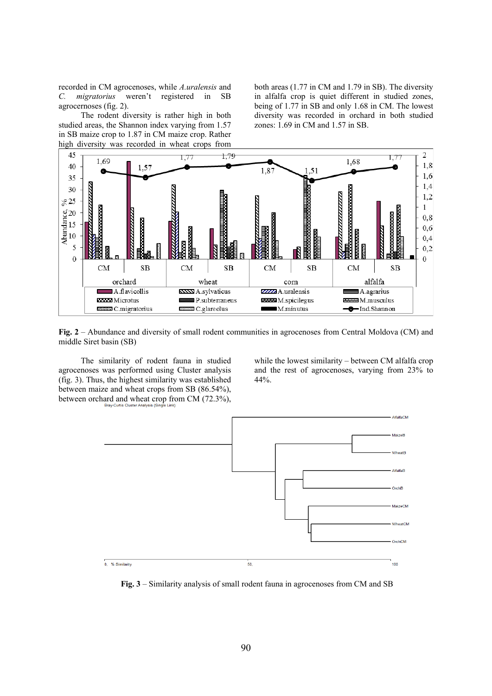recorded in CM agrocenoses, while *A.uralensis* and *C. migratorius* weren't registered in SB agrocernoses (fig. 2).

The rodent diversity is rather high in both studied areas, the Shannon index varying from 1.57 in SB maize crop to 1.87 in CM maize crop. Rather high diversity was recorded in wheat crops from

both areas (1.77 in CM and 1.79 in SB). The diversity in alfalfa crop is quiet different in studied zones, being of 1.77 in SB and only 1.68 in CM. The lowest diversity was recorded in orchard in both studied zones: 1.69 in CM and 1.57 in SB.



**Fig. 2** – Abundance and diversity of small rodent communities in agrocenoses from Central Moldova (CM) and middle Siret basin (SB)

The similarity of rodent fauna in studied agrocenoses was performed using Cluster analysis (fig. 3). Thus, the highest similarity was established between maize and wheat crops from SB (86.54%), between orchard and wheat crop from CM (72.3%), while the lowest similarity – between CM alfalfa crop and the rest of agrocenoses, varying from 23% to 44%.



**Fig. 3** – Similarity analysis of small rodent fauna in agrocenoses from CM and SB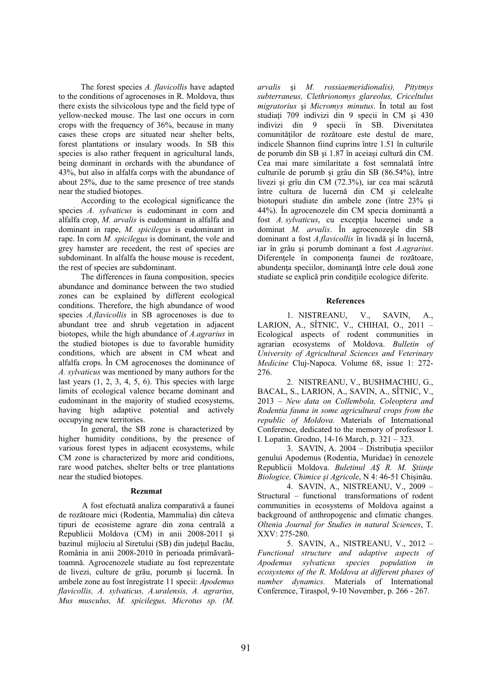The forest species *A. flavicollis* have adapted to the conditions of agrocenoses in R. Moldova, thus there exists the silvicolous type and the field type of yellow-necked mouse. The last one occurs in corn crops with the frequency of 36%, because in many cases these crops are situated near shelter belts, forest plantations or insulary woods. In SB this species is also rather frequent in agricultural lands, being dominant in orchards with the abundance of 43%, but also in alfalfa corps with the abundance of about 25%, due to the same presence of tree stands near the studied biotopes.

According to the ecological significance the species *A. sylvaticus* is eudominant in corn and alfalfa crop, *M. arvalis* is eudominant in alfalfa and dominant in rape, *M. spicilegus* is eudominant in rape. In corn *M. spicilegus* is dominant, the vole and grey hamster are recedent, the rest of species are subdominant. In alfalfa the house mouse is recedent, the rest of species are subdominant.

The differences in fauna composition, species abundance and dominance between the two studied zones can be explained by different ecological conditions. Therefore, the high abundance of wood species *A.flavicollis* in SB agrocenoses is due to abundant tree and shrub vegetation in adjacent biotopes, while the high abundance of *A.agrarius* in the studied biotopes is due to favorable humidity conditions, which are absent in CM wheat and alfalfa crops. În CM agrocenoses the dominance of *A. sylvaticus* was mentioned by many authors for the last years  $(1, 2, 3, 4, 5, 6)$ . This species with large limits of ecological valence became dominant and eudominant in the majority of studied ecosystems, having high adaptive potential and actively occupying new territories.

In general, the SB zone is characterized by higher humidity conditions, by the presence of various forest types in adjacent ecosystems, while CM zone is characterized by more arid conditions, rare wood patches, shelter belts or tree plantations near the studied biotopes.

#### **Rezumat**

A fost efectuată analiza comparativă a faunei de rozătoare mici (Rodentia, Mammalia) din câteva tipuri de ecosisteme agrare din zona centrală a Republicii Moldova (CM) in anii 2008-2011 şi bazinul mijlociu al Siretului (SB) din judeţul Bacău, România in anii 2008-2010 în perioada primăvarătoamnă. Agrocenozele studiate au fost reprezentate de livezi, culture de grău, porumb şi lucernă. În ambele zone au fost înregistrate 11 specii: *Apodemus flavicollis, A. sylvaticus, A.uralensis, A. agrarius, Mus musculus, M. spicilegus, Microtus sp. (M.*  *arvalis* şi *M. rossiaemeridionalis), Pitytmys subterraneus, Clethrionomys glareolus, Criceltulus migratorius* şi *Micromys minutus*. În total au fost studiaţi 709 indivizi din 9 specii în CM şi 430 indivizi din 9 specii în SB. Diversitatea comunităților de rozătoare este destul de mare, indicele Shannon fiind cuprins între 1.51 în culturile de porumb din SB şi 1.87 în aceiaşi cultură din CM. Cea mai mare similaritate a fost semnalată între culturile de porumb şi grâu din SB (86.54%), între livezi şi grîu din CM (72.3%), iar cea mai scăzută între cultura de lucernă din CM şi celelealte biotopuri studiate din ambele zone (între 23% şi 44%). În agrocenozele din CM specia dominantă a fost *A. sylvaticus*, cu excepţia lucernei unde a dominat *M. arvalis*. În agrocenozeşle din SB dominant a fost *A.flavicollis* în livadă şi în lucernă, iar în grâu şi porumb dominant a fost *A.agrarius*. Diferenţele în componenţa faunei de rozătoare, abundenta speciilor, dominanță între cele două zone studiate se explică prin conditiile ecologice diferite.

# **References**

1. NISTREANU, V., SAVIN, A., LARION, A., SÎTNIC, V., CHIHAI, O., 2011 – Ecological aspects of rodent communities in agrarian ecosystems of Moldova. *Bulletin of University of Agricultural Sciences and Veterinary Medicine* Cluj-Napoca. Volume 68, issue 1: 272- 276.

2. NISTREANU, V., BUSHMACHIU, G., BACAL, S., LARION, A., SAVIN, A., SÎTNIC, V., 2013 – *New data on Collembola, Coleoptera and Rodentia fauna in some agricultural crops from the republic of Moldova.* Materials of International Conference, dedicated to the memory of professor I. I. Lopatin. Grodno, 14-16 March, p. 321 – 323.

3. SAVIN, A.  $2004 -$  Distributia speciilor genului Apodemus (Rodentia, Muridae) în cenozele Republicii Moldova. *Buletinul AŞ R. M. Ştiinţe Biologice, Chimice şi Agricole*, N 4: 46-51 Chişinău.

4. SAVIN, A., NISTREANU, V., 2009 – Structural – functional transformations of rodent communities in ecosystems of Moldova against a background of anthropogenic and climatic changes. *Oltenia Journal for Studies in natural Sciences*, T. XXV: 275-280.

5. SAVIN, A., NISTREANU, V., 2012 – *Functional structure and adaptive aspects of Apodemus sylvaticus species population in ecosystems of the R. Moldova at different phases of number dynamics.* Materials of International Conference, Tiraspol, 9-10 November, р. 266 - 267.